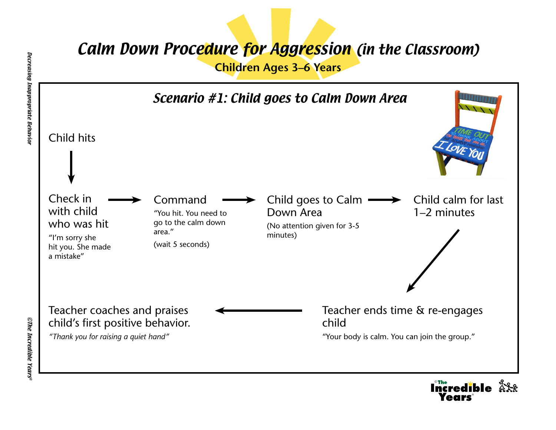## Calm Down Procedure for Aggression (in the Classroom)

**Children Ages 3–6 Years**



©

®

redible Å<sup>ç</sup>ê

**CThe Incredible Years®** ©The Incredible Years®

Decreasing Inappropriate Behavior

Decreasing Inappropriate Behavior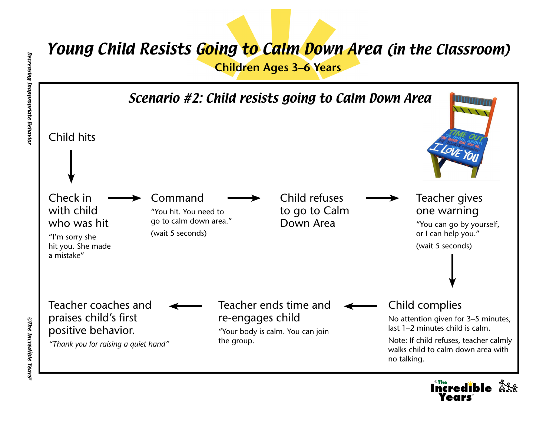## Young Child Resists Going to Calm Down Area (in the Classroom)

**Children Ages 3–6 Years**



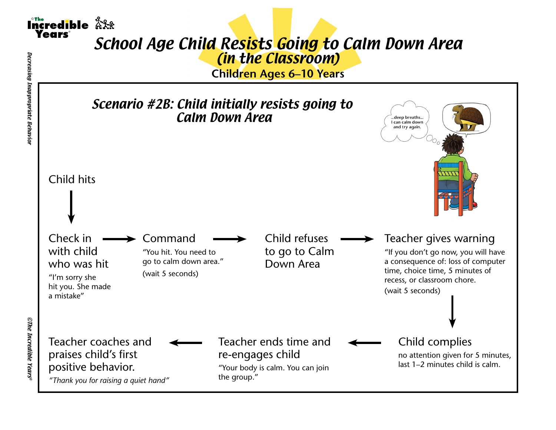

## School Age Child Resists Going to Calm Down Area (in the Classroom)

**Children Ages 6–10 Years**